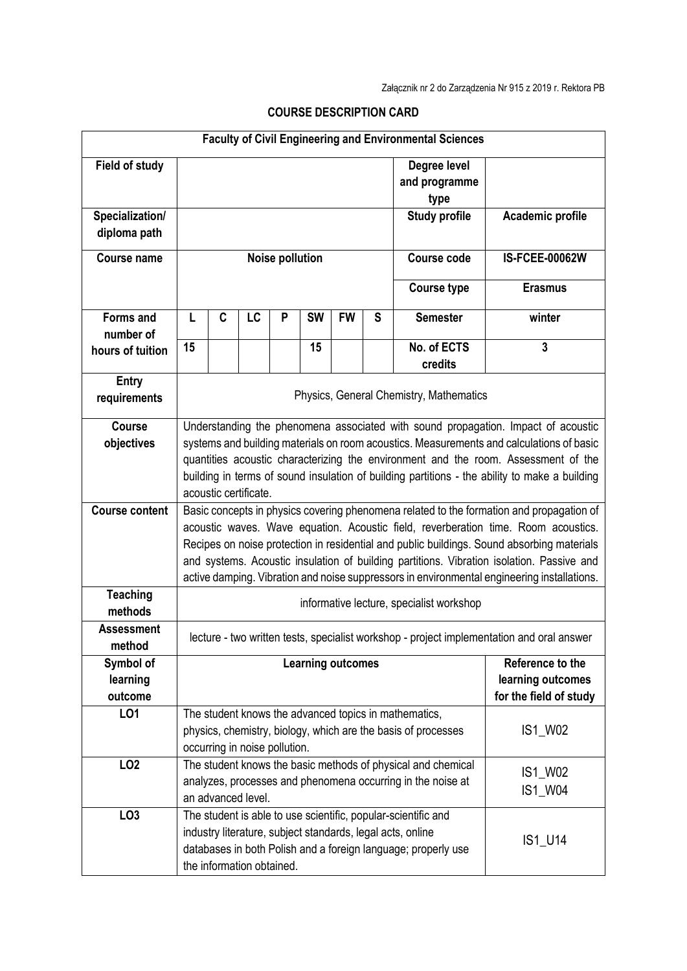| <b>Faculty of Civil Engineering and Environmental Sciences</b> |                                                                                                                                                                                                                                                                                                                                                                                                                                                                          |                           |                                              |   |           |           |                    |                                                                                                                                                                                                         |                        |  |  |
|----------------------------------------------------------------|--------------------------------------------------------------------------------------------------------------------------------------------------------------------------------------------------------------------------------------------------------------------------------------------------------------------------------------------------------------------------------------------------------------------------------------------------------------------------|---------------------------|----------------------------------------------|---|-----------|-----------|--------------------|---------------------------------------------------------------------------------------------------------------------------------------------------------------------------------------------------------|------------------------|--|--|
| <b>Field of study</b>                                          |                                                                                                                                                                                                                                                                                                                                                                                                                                                                          |                           |                                              |   |           |           |                    | Degree level<br>and programme<br>type                                                                                                                                                                   |                        |  |  |
| Specialization/                                                |                                                                                                                                                                                                                                                                                                                                                                                                                                                                          |                           |                                              |   |           |           |                    | <b>Study profile</b>                                                                                                                                                                                    | Academic profile       |  |  |
| diploma path                                                   |                                                                                                                                                                                                                                                                                                                                                                                                                                                                          |                           |                                              |   |           |           |                    |                                                                                                                                                                                                         |                        |  |  |
| <b>Course name</b>                                             | <b>Noise pollution</b>                                                                                                                                                                                                                                                                                                                                                                                                                                                   |                           |                                              |   |           |           | <b>Course code</b> | <b>IS-FCEE-00062W</b>                                                                                                                                                                                   |                        |  |  |
|                                                                |                                                                                                                                                                                                                                                                                                                                                                                                                                                                          |                           |                                              |   |           |           |                    | <b>Course type</b>                                                                                                                                                                                      | <b>Erasmus</b>         |  |  |
| <b>Forms and</b><br>number of                                  | L                                                                                                                                                                                                                                                                                                                                                                                                                                                                        | C                         | LC                                           | P | <b>SW</b> | <b>FW</b> | S                  | <b>Semester</b>                                                                                                                                                                                         | winter                 |  |  |
| hours of tuition                                               | 15                                                                                                                                                                                                                                                                                                                                                                                                                                                                       |                           |                                              |   | 15        |           |                    | No. of ECTS                                                                                                                                                                                             | $\overline{3}$         |  |  |
|                                                                |                                                                                                                                                                                                                                                                                                                                                                                                                                                                          |                           |                                              |   |           |           |                    | credits                                                                                                                                                                                                 |                        |  |  |
| Entry<br>requirements                                          | Physics, General Chemistry, Mathematics                                                                                                                                                                                                                                                                                                                                                                                                                                  |                           |                                              |   |           |           |                    |                                                                                                                                                                                                         |                        |  |  |
| <b>Course</b><br>objectives                                    | Understanding the phenomena associated with sound propagation. Impact of acoustic<br>systems and building materials on room acoustics. Measurements and calculations of basic<br>quantities acoustic characterizing the environment and the room. Assessment of the<br>building in terms of sound insulation of building partitions - the ability to make a building<br>acoustic certificate.                                                                            |                           |                                              |   |           |           |                    |                                                                                                                                                                                                         |                        |  |  |
| <b>Course content</b>                                          | Basic concepts in physics covering phenomena related to the formation and propagation of<br>acoustic waves. Wave equation. Acoustic field, reverberation time. Room acoustics.<br>Recipes on noise protection in residential and public buildings. Sound absorbing materials<br>and systems. Acoustic insulation of building partitions. Vibration isolation. Passive and<br>active damping. Vibration and noise suppressors in environmental engineering installations. |                           |                                              |   |           |           |                    |                                                                                                                                                                                                         |                        |  |  |
| <b>Teaching</b>                                                |                                                                                                                                                                                                                                                                                                                                                                                                                                                                          |                           |                                              |   |           |           |                    |                                                                                                                                                                                                         |                        |  |  |
| methods                                                        | informative lecture, specialist workshop                                                                                                                                                                                                                                                                                                                                                                                                                                 |                           |                                              |   |           |           |                    |                                                                                                                                                                                                         |                        |  |  |
| <b>Assessment</b><br>method                                    | lecture - two written tests, specialist workshop - project implementation and oral answer                                                                                                                                                                                                                                                                                                                                                                                |                           |                                              |   |           |           |                    |                                                                                                                                                                                                         |                        |  |  |
| Symbol of                                                      |                                                                                                                                                                                                                                                                                                                                                                                                                                                                          |                           | Reference to the<br><b>Learning outcomes</b> |   |           |           |                    |                                                                                                                                                                                                         |                        |  |  |
| learning                                                       | learning outcomes                                                                                                                                                                                                                                                                                                                                                                                                                                                        |                           |                                              |   |           |           |                    |                                                                                                                                                                                                         |                        |  |  |
| outcome                                                        |                                                                                                                                                                                                                                                                                                                                                                                                                                                                          |                           |                                              |   |           |           |                    |                                                                                                                                                                                                         | for the field of study |  |  |
| LO1                                                            | The student knows the advanced topics in mathematics,                                                                                                                                                                                                                                                                                                                                                                                                                    |                           |                                              |   |           |           |                    |                                                                                                                                                                                                         |                        |  |  |
|                                                                | IS1_W02<br>physics, chemistry, biology, which are the basis of processes                                                                                                                                                                                                                                                                                                                                                                                                 |                           |                                              |   |           |           |                    |                                                                                                                                                                                                         |                        |  |  |
|                                                                | occurring in noise pollution.<br>The student knows the basic methods of physical and chemical                                                                                                                                                                                                                                                                                                                                                                            |                           |                                              |   |           |           |                    |                                                                                                                                                                                                         |                        |  |  |
| LO <sub>2</sub>                                                |                                                                                                                                                                                                                                                                                                                                                                                                                                                                          |                           |                                              |   |           |           |                    |                                                                                                                                                                                                         | IS1_W02                |  |  |
|                                                                |                                                                                                                                                                                                                                                                                                                                                                                                                                                                          | an advanced level.        |                                              |   |           |           |                    | analyzes, processes and phenomena occurring in the noise at                                                                                                                                             | IS1_W04                |  |  |
| LO <sub>3</sub>                                                |                                                                                                                                                                                                                                                                                                                                                                                                                                                                          | the information obtained. |                                              |   |           |           |                    | The student is able to use scientific, popular-scientific and<br>industry literature, subject standards, legal acts, online<br>IS1_U14<br>databases in both Polish and a foreign language; properly use |                        |  |  |

## **COURSE DESCRIPTION CARD**